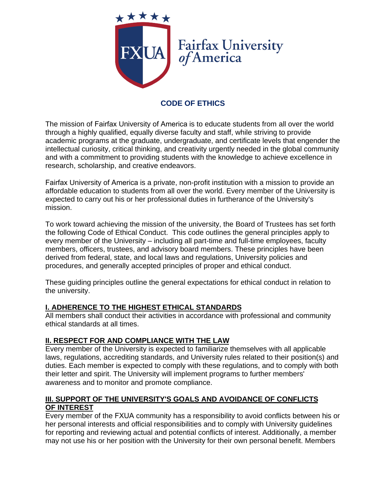

# **CODE OF ETHICS**

The mission of Fairfax University of America is to educate students from all over the world through a highly qualified, equally diverse faculty and staff, while striving to provide academic programs at the graduate, undergraduate, and certificate levels that engender the intellectual curiosity, critical thinking, and creativity urgently needed in the global community and with a commitment to providing students with the knowledge to achieve excellence in research, scholarship, and creative endeavors.

Fairfax University of America is a private, non-profit institution with a mission to provide an affordable education to students from all over the world. Every member of the University is expected to carry out his or her professional duties in furtherance of the University's mission.

To work toward achieving the mission of the university, the Board of Trustees has set forth the following Code of Ethical Conduct. This code outlines the general principles apply to every member of the University – including all part-time and full-time employees, faculty members, officers, trustees, and advisory board members. These principles have been derived from federal, state, and local laws and regulations, University policies and procedures, and generally accepted principles of proper and ethical conduct.

These guiding principles outline the general expectations for ethical conduct in relation to the university.

### **I. ADHERENCE TO THE HIGHEST ETHICAL STANDARDS**

All members shall conduct their activities in accordance with professional and community ethical standards at all times.

### **II. RESPECT FOR AND COMPLIANCE WITH THE LAW**

Every member of the University is expected to familiarize themselves with all applicable laws, regulations, accrediting standards, and University rules related to their position(s) and duties. Each member is expected to comply with these regulations, and to comply with both their letter and spirit. The University will implement programs to further members' awareness and to monitor and promote compliance.

### **III. SUPPORT OF THE UNIVERSITY'S GOALS AND AVOIDANCE OF CONFLICTS OF INTEREST**

Every member of the FXUA community has a responsibility to avoid conflicts between his or her personal interests and official responsibilities and to comply with University guidelines for reporting and reviewing actual and potential conflicts of interest. Additionally, a member may not use his or her position with the University for their own personal benefit. Members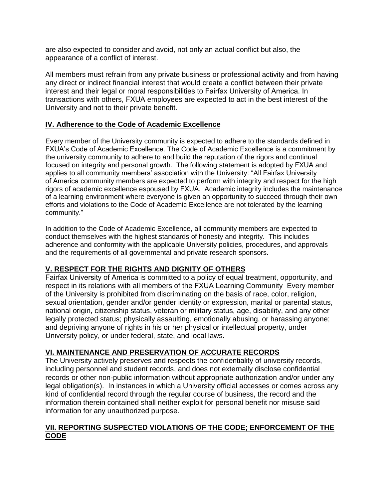are also expected to consider and avoid, not only an actual conflict but also, the appearance of a conflict of interest.

All members must refrain from any private business or professional activity and from having any direct or indirect financial interest that would create a conflict between their private interest and their legal or moral responsibilities to Fairfax University of America. In transactions with others, FXUA employees are expected to act in the best interest of the University and not to their private benefit.

## **IV. Adherence to the Code of Academic Excellence**

Every member of the University community is expected to adhere to the standards defined in FXUA's Code of Academic Excellence. The Code of Academic Excellence is a commitment by the university community to adhere to and build the reputation of the rigors and continual focused on integrity and personal growth. The following statement is adopted by FXUA and applies to all community members' association with the University: "All Fairfax University of America community members are expected to perform with integrity and respect for the high rigors of academic excellence espoused by FXUA. Academic integrity includes the maintenance of a learning environment where everyone is given an opportunity to succeed through their own efforts and violations to the Code of Academic Excellence are not tolerated by the learning community."

In addition to the Code of Academic Excellence, all community members are expected to conduct themselves with the highest standards of honesty and integrity. This includes adherence and conformity with the applicable University policies, procedures, and approvals and the requirements of all governmental and private research sponsors.

### **V. RESPECT FOR THE RIGHTS AND DIGNITY OF OTHERS**

Fairfax University of America is committed to a policy of equal treatment, opportunity, and respect in its relations with all members of the FXUA Learning Community Every member of the University is prohibited from discriminating on the basis of race, color, religion, sexual orientation, gender and/or gender identity or expression, marital or parental status, national origin, citizenship status, veteran or military status, age, disability, and any other legally protected status; physically assaulting, emotionally abusing, or harassing anyone; and depriving anyone of rights in his or her physical or intellectual property, under University policy, or under federal, state, and local laws.

### **VI. MAINTENANCE AND PRESERVATION OF ACCURATE RECORDS**

The University actively preserves and respects the confidentiality of university records, including personnel and student records, and does not externally disclose confidential records or other non-public information without appropriate authorization and/or under any legal obligation(s). In instances in which a University official accesses or comes across any kind of confidential record through the regular course of business, the record and the information therein contained shall neither exploit for personal benefit nor misuse said information for any unauthorized purpose.

### **VII. REPORTING SUSPECTED VIOLATIONS OF THE CODE; ENFORCEMENT OF THE CODE**